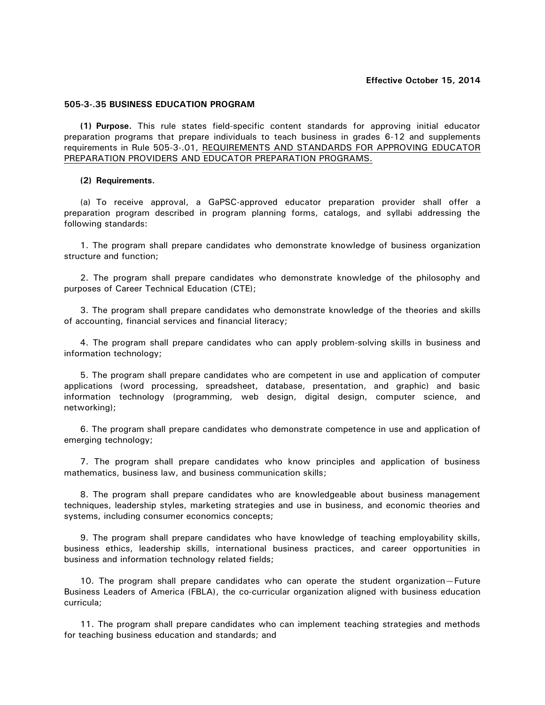## **505-3-.35 BUSINESS EDUCATION PROGRAM**

**(1) Purpose.** This rule states field-specific content standards for approving initial educator preparation programs that prepare individuals to teach business in grades 6-12 and supplements requirements in Rule 505-3-.01, REQUIREMENTS AND STANDARDS FOR APPROVING EDUCATOR PREPARATION PROVIDERS AND EDUCATOR PREPARATION PROGRAMS.

## **(2) Requirements.**

(a) To receive approval, a GaPSC-approved educator preparation provider shall offer a preparation program described in program planning forms, catalogs, and syllabi addressing the following standards:

1. The program shall prepare candidates who demonstrate knowledge of business organization structure and function;

2. The program shall prepare candidates who demonstrate knowledge of the philosophy and purposes of Career Technical Education (CTE);

3. The program shall prepare candidates who demonstrate knowledge of the theories and skills of accounting, financial services and financial literacy;

4. The program shall prepare candidates who can apply problem-solving skills in business and information technology;

5. The program shall prepare candidates who are competent in use and application of computer applications (word processing, spreadsheet, database, presentation, and graphic) and basic information technology (programming, web design, digital design, computer science, and networking);

6. The program shall prepare candidates who demonstrate competence in use and application of emerging technology;

7. The program shall prepare candidates who know principles and application of business mathematics, business law, and business communication skills;

8. The program shall prepare candidates who are knowledgeable about business management techniques, leadership styles, marketing strategies and use in business, and economic theories and systems, including consumer economics concepts;

9. The program shall prepare candidates who have knowledge of teaching employability skills, business ethics, leadership skills, international business practices, and career opportunities in business and information technology related fields;

10. The program shall prepare candidates who can operate the student organization—Future Business Leaders of America (FBLA), the co-curricular organization aligned with business education curricula;

11. The program shall prepare candidates who can implement teaching strategies and methods for teaching business education and standards; and